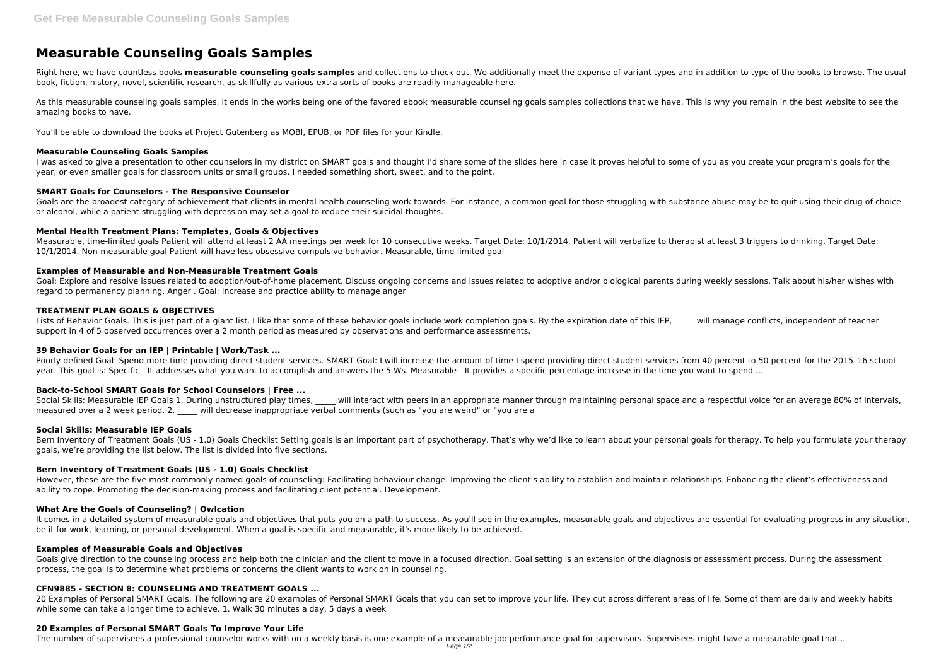# **Measurable Counseling Goals Samples**

Right here, we have countless books **measurable counseling goals samples** and collections to check out. We additionally meet the expense of variant types and in addition to type of the books to browse. The usual book, fiction, history, novel, scientific research, as skillfully as various extra sorts of books are readily manageable here.

As this measurable counseling goals samples, it ends in the works being one of the favored ebook measurable counseling goals samples collections that we have. This is why you remain in the best website to see the amazing books to have.

I was asked to give a presentation to other counselors in my district on SMART goals and thought I'd share some of the slides here in case it proves helpful to some of you as you create your program's goals for the year, or even smaller goals for classroom units or small groups. I needed something short, sweet, and to the point.

You'll be able to download the books at Project Gutenberg as MOBI, EPUB, or PDF files for your Kindle.

Goals are the broadest category of achievement that clients in mental health counseling work towards. For instance, a common goal for those struggling with substance abuse may be to quit using their drug of choice or alcohol, while a patient struggling with depression may set a goal to reduce their suicidal thoughts.

## **Measurable Counseling Goals Samples**

Measurable, time-limited goals Patient will attend at least 2 AA meetings per week for 10 consecutive weeks. Target Date: 10/1/2014. Patient will verbalize to therapist at least 3 triggers to drinking. Target Date: 10/1/2014. Non-measurable goal Patient will have less obsessive-compulsive behavior. Measurable, time-limited goal

Goal: Explore and resolve issues related to adoption/out-of-home placement. Discuss ongoing concerns and issues related to adoptive and/or biological parents during weekly sessions. Talk about his/her wishes with regard to permanency planning. Anger . Goal: Increase and practice ability to manage anger

# **SMART Goals for Counselors - The Responsive Counselor**

Lists of Behavior Goals. This is just part of a giant list. I like that some of these behavior goals include work completion goals. By the expiration date of this IEP. will manage conflicts, independent of teacher support in 4 of 5 observed occurrences over a 2 month period as measured by observations and performance assessments.

# **Mental Health Treatment Plans: Templates, Goals & Objectives**

Poorly defined Goal: Spend more time providing direct student services. SMART Goal: I will increase the amount of time I spend providing direct student services from 40 percent to 50 percent for the 2015-16 school year. This goal is: Specific—It addresses what you want to accomplish and answers the 5 Ws. Measurable—It provides a specific percentage increase in the time you want to spend ...

Social Skills: Measurable IEP Goals 1. During unstructured play times, will interact with peers in an appropriate manner through maintaining personal space and a respectful voice for an average 80% of intervals, measured over a 2 week period. 2. \_\_\_\_\_ will decrease inappropriate verbal comments (such as "you are weird" or "you are a

Bern Inventory of Treatment Goals (US - 1.0) Goals Checklist Setting goals is an important part of psychotherapy. That's why we'd like to learn about your personal goals for therapy. To help you formulate your therapy goals, we're providing the list below. The list is divided into five sections.

# **Examples of Measurable and Non-Measurable Treatment Goals**

# **TREATMENT PLAN GOALS & OBJECTIVES**

It comes in a detailed system of measurable goals and objectives that puts you on a path to success. As you'll see in the examples, measurable goals and objectives are essential for evaluating progress in any situation, be it for work, learning, or personal development. When a goal is specific and measurable, it's more likely to be achieved.

Goals give direction to the counseling process and help both the clinician and the client to move in a focused direction. Goal setting is an extension of the diagnosis or assessment process. During the assessment process, the goal is to determine what problems or concerns the client wants to work on in counseling.

20 Examples of Personal SMART Goals. The following are 20 examples of Personal SMART Goals that you can set to improve your life. They cut across different areas of life. Some of them are daily and weekly habits while some can take a longer time to achieve. 1. Walk 30 minutes a day, 5 days a week

# **39 Behavior Goals for an IEP | Printable | Work/Task ...**

# **Back-to-School SMART Goals for School Counselors | Free ...**

#### **Social Skills: Measurable IEP Goals**

#### **Bern Inventory of Treatment Goals (US - 1.0) Goals Checklist**

However, these are the five most commonly named goals of counseling: Facilitating behaviour change. Improving the client's ability to establish and maintain relationships. Enhancing the client's effectiveness and ability to cope. Promoting the decision-making process and facilitating client potential. Development.

### **What Are the Goals of Counseling? | Owlcation**

#### **Examples of Measurable Goals and Objectives**

# **CFN9885 - SECTION 8: COUNSELING AND TREATMENT GOALS ...**

#### **20 Examples of Personal SMART Goals To Improve Your Life**

The number of supervisees a professional counselor works with on a weekly basis is one example of a measurable job performance goal for supervisors. Supervisees might have a measurable goal that...